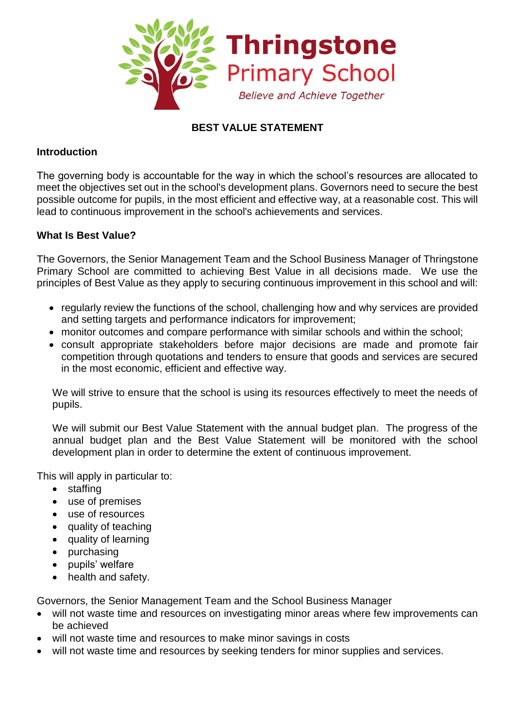

# **BEST VALUE STATEMENT**

#### **Introduction**

The governing body is accountable for the way in which the school's resources are allocated to meet the objectives set out in the school's development plans. Governors need to secure the best possible outcome for pupils, in the most efficient and effective way, at a reasonable cost. This will lead to continuous improvement in the school's achievements and services.

#### **What Is Best Value?**

The Governors, the Senior Management Team and the School Business Manager of Thringstone Primary School are committed to achieving Best Value in all decisions made. We use the principles of Best Value as they apply to securing continuous improvement in this school and will:

- regularly review the functions of the school, challenging how and why services are provided and setting targets and performance indicators for improvement;
- monitor outcomes and compare performance with similar schools and within the school;
- consult appropriate stakeholders before major decisions are made and promote fair competition through quotations and tenders to ensure that goods and services are secured in the most economic, efficient and effective way.

We will strive to ensure that the school is using its resources effectively to meet the needs of pupils.

We will submit our Best Value Statement with the annual budget plan. The progress of the annual budget plan and the Best Value Statement will be monitored with the school development plan in order to determine the extent of continuous improvement.

This will apply in particular to:

- staffing
- use of premises
- use of resources
- quality of teaching
- quality of learning
- purchasing
- pupils' welfare
- health and safety.

Governors, the Senior Management Team and the School Business Manager

- will not waste time and resources on investigating minor areas where few improvements can be achieved
- will not waste time and resources to make minor savings in costs
- will not waste time and resources by seeking tenders for minor supplies and services.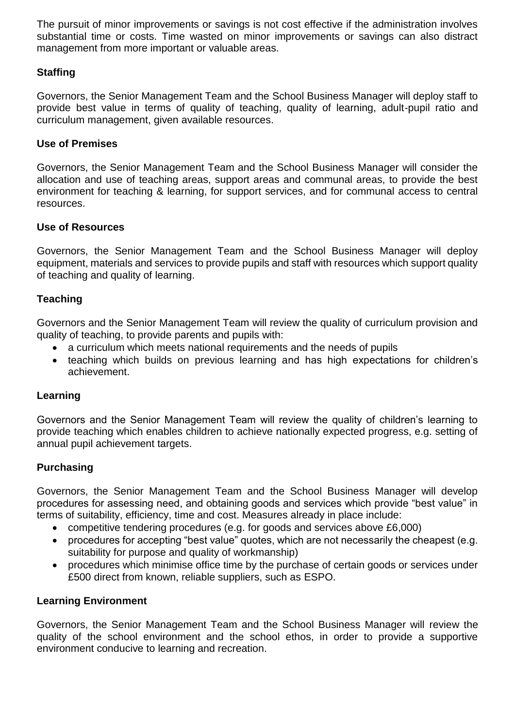The pursuit of minor improvements or savings is not cost effective if the administration involves substantial time or costs. Time wasted on minor improvements or savings can also distract management from more important or valuable areas.

## **Staffing**

Governors, the Senior Management Team and the School Business Manager will deploy staff to provide best value in terms of quality of teaching, quality of learning, adult-pupil ratio and curriculum management, given available resources.

### **Use of Premises**

Governors, the Senior Management Team and the School Business Manager will consider the allocation and use of teaching areas, support areas and communal areas, to provide the best environment for teaching & learning, for support services, and for communal access to central resources.

### **Use of Resources**

Governors, the Senior Management Team and the School Business Manager will deploy equipment, materials and services to provide pupils and staff with resources which support quality of teaching and quality of learning.

### **Teaching**

Governors and the Senior Management Team will review the quality of curriculum provision and quality of teaching, to provide parents and pupils with:

- a curriculum which meets national requirements and the needs of pupils
- teaching which builds on previous learning and has high expectations for children's achievement.

### **Learning**

Governors and the Senior Management Team will review the quality of children's learning to provide teaching which enables children to achieve nationally expected progress, e.g. setting of annual pupil achievement targets.

### **Purchasing**

Governors, the Senior Management Team and the School Business Manager will develop procedures for assessing need, and obtaining goods and services which provide "best value" in terms of suitability, efficiency, time and cost. Measures already in place include:

- competitive tendering procedures (e.g. for goods and services above £6,000)
- procedures for accepting "best value" quotes, which are not necessarily the cheapest (e.g. suitability for purpose and quality of workmanship)
- procedures which minimise office time by the purchase of certain goods or services under £500 direct from known, reliable suppliers, such as ESPO.

### **Learning Environment**

Governors, the Senior Management Team and the School Business Manager will review the quality of the school environment and the school ethos, in order to provide a supportive environment conducive to learning and recreation.